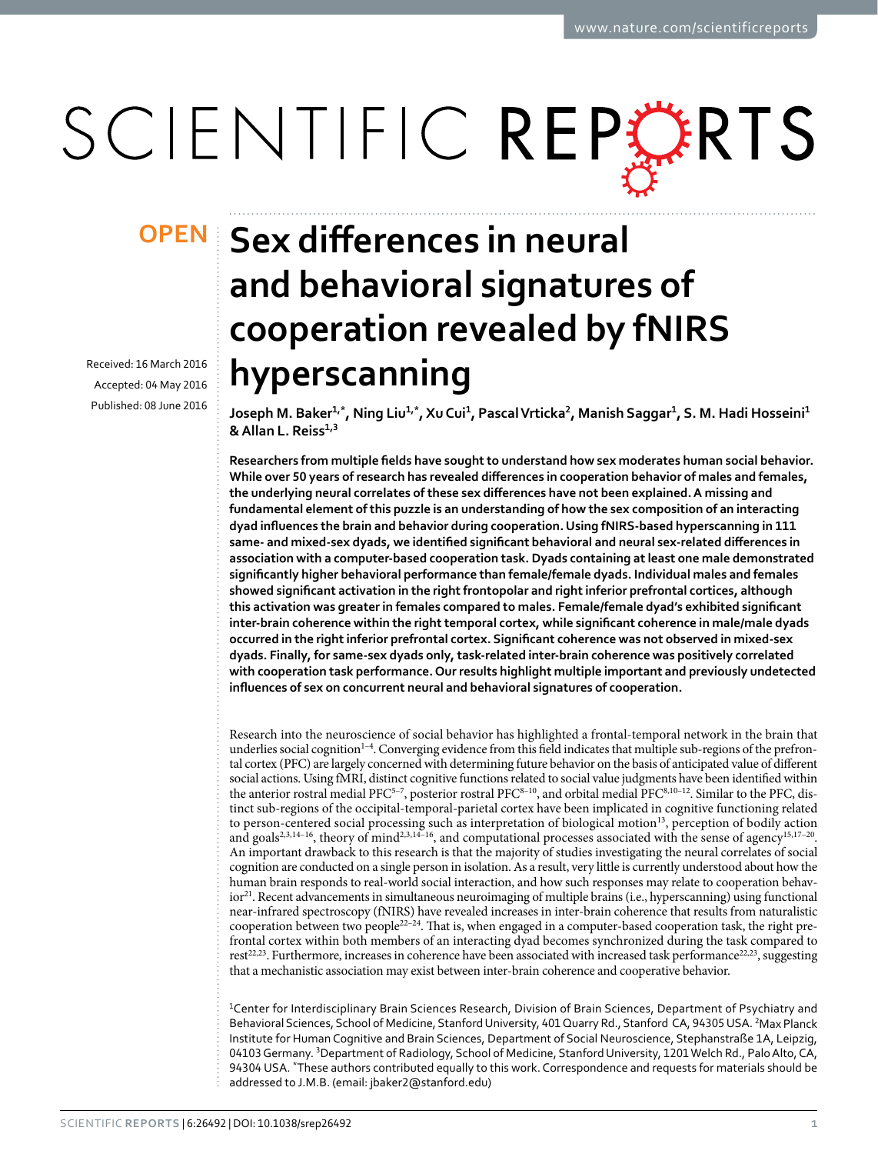# SCIENTIFIC REPERTS

Received: 16 March 2016 accepted: 04 May 2016 Published: 08 June 2016

## **Sex differences in neural and behavioral signatures of cooperation revealed by fNIRS hyperscanning**

**Joseph M. Baker1,\*, Ning Liu1,\*, XuCui1, PascalVrticka2, Manish Saggar1, S. M. Hadi Hosseini1 & Allan L. Reiss1,<sup>3</sup>**

**Researchers from multiple fields have sought to understand how sex moderates human social behavior. While over 50 years of research has revealed differences in cooperation behavior of males and females, the underlying neural correlates of these sex differences have not been explained. A missing and fundamental element of this puzzle is an understanding of how the sex composition of an interacting dyad influences the brain and behavior during cooperation. Using fNIRS-based hyperscanning in 111 same- and mixed-sex dyads, we identified significant behavioral and neural sex-related differences in association with a computer-based cooperation task. Dyads containing at least one male demonstrated significantly higher behavioral performance than female/female dyads. Individual males and females showed significant activation in the right frontopolar and right inferior prefrontal cortices, although this activation was greater in females compared to males. Female/female dyad's exhibited significant inter-brain coherence within the right temporal cortex, while significant coherence in male/male dyads occurred in the right inferior prefrontal cortex. Significant coherence was not observed in mixed-sex dyads. Finally, for same-sex dyads only, task-related inter-brain coherence was positively correlated with cooperation task performance. Our results highlight multiple important and previously undetected influences of sex on concurrent neural and behavioral signatures of cooperation.**

Research into the neuroscience of social behavior has highlighted a frontal-temporal network in the brain that underlies social cognition<sup>1–4</sup>. Converging evidence from this field indicates that multiple sub-regions of the prefrontal cortex (PFC) are largely concerned with determining future behavior on the basis of anticipated value of different social actions. Using fMRI, distinct cognitive functions related to social value judgments have been identified within the anterior rostral medial PFC<sup>5–7</sup>, posterior rostral PFC<sup>8–10</sup>, and orbital medial PFC<sup>8,10–12</sup>. Similar to the PFC, distinct sub-regions of the occipital-temporal-parietal cortex have been implicated in cognitive functioning related to person-centered social processing such as interpretation of biological motion<sup>13</sup>, perception of bodily action and goals<sup>[2,](#page-7-1)3,[14–16](#page-7-2)</sup>, theory of mind<sup>2,3,14–16</sup>, and computational processes associated with the sense of agency<sup>15,17–20</sup>. An important drawback to this research is that the majority of studies investigating the neural correlates of social cognition are conducted on a single person in isolation. As a result, very little is currently understood about how the human brain responds to real-world social interaction, and how such responses may relate to cooperation behav $i$ or<sup>21</sup>. Recent advancements in simultaneous neuroimaging of multiple brains (i.e., hyperscanning) using functional near-infrared spectroscopy (fNIRS) have revealed increases in inter-brain coherence that results from naturalistic cooperation between two people<sup>22–24</sup>. That is, when engaged in a computer-based cooperation task, the right prefrontal cortex within both members of an interacting dyad becomes synchronized during the task compared to rest<sup>[22](#page-8-0),23</sup>. Furthermore, increases in coherence have been associated with increased task performance<sup>22,23</sup>, suggesting that a mechanistic association may exist between inter-brain coherence and cooperative behavior.

<sup>1</sup>Center for Interdisciplinary Brain Sciences Research, Division of Brain Sciences, Department of Psychiatry and Behavioral Sciences, School of Medicine, Stanford University, 401 Quarry Rd., Stanford CA, 94305 USA. <sup>2</sup>Max Planck Institute for Human Cognitive and Brain Sciences, Department of Social Neuroscience, Stephanstraße 1A, Leipzig, 04103 Germany. <sup>3</sup>Department of Radiology, School of Medicine, Stanford University, 1201 Welch Rd., Palo Alto, CA, 94304 USA. \*These authors contributed equally to this work. Correspondence and requests for materials should be addressed to J.M.B. (email: [jbaker2@stanford.edu\)](mailto:jbaker2@stanford.edu)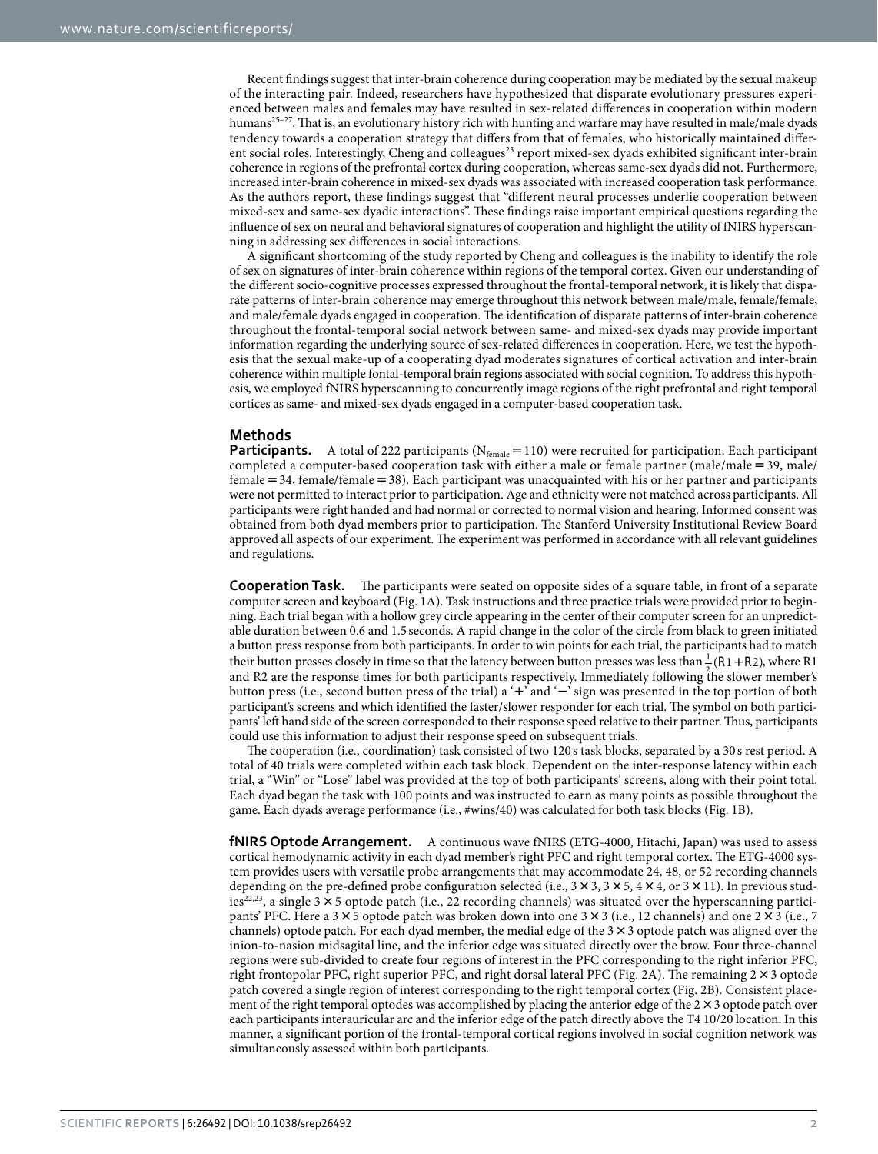Recent findings suggest that inter-brain coherence during cooperation may be mediated by the sexual makeup of the interacting pair. Indeed, researchers have hypothesized that disparate evolutionary pressures experienced between males and females may have resulted in sex-related differences in cooperation within modern humans<sup>25–27</sup>. That is, an evolutionary history rich with hunting and warfare may have resulted in male/male dyads tendency towards a cooperation strategy that differs from that of females, who historically maintained different social roles. Interestingly, Cheng and colleagues<sup>23</sup> report mixed-sex dyads exhibited significant inter-brain coherence in regions of the prefrontal cortex during cooperation, whereas same-sex dyads did not. Furthermore, increased inter-brain coherence in mixed-sex dyads was associated with increased cooperation task performance. As the authors report, these findings suggest that "different neural processes underlie cooperation between mixed-sex and same-sex dyadic interactions". These findings raise important empirical questions regarding the influence of sex on neural and behavioral signatures of cooperation and highlight the utility of fNIRS hyperscanning in addressing sex differences in social interactions.

A significant shortcoming of the study reported by Cheng and colleagues is the inability to identify the role of sex on signatures of inter-brain coherence within regions of the temporal cortex. Given our understanding of the different socio-cognitive processes expressed throughout the frontal-temporal network, it is likely that disparate patterns of inter-brain coherence may emerge throughout this network between male/male, female/female, and male/female dyads engaged in cooperation. The identification of disparate patterns of inter-brain coherence throughout the frontal-temporal social network between same- and mixed-sex dyads may provide important information regarding the underlying source of sex-related differences in cooperation. Here, we test the hypothesis that the sexual make-up of a cooperating dyad moderates signatures of cortical activation and inter-brain coherence within multiple fontal-temporal brain regions associated with social cognition. To address this hypothesis, we employed fNIRS hyperscanning to concurrently image regions of the right prefrontal and right temporal cortices as same- and mixed-sex dyads engaged in a computer-based cooperation task.

### **Methods**

**Participants.** A total of 222 participants ( $N_{\text{female}} = 110$ ) were recruited for participation. Each participant completed a computer-based cooperation task with either a male or female partner (male/male = 39, male/  $f$  female= 34, female/female = 38). Each participant was unacquainted with his or her partner and participants were not permitted to interact prior to participation. Age and ethnicity were not matched across participants. All participants were right handed and had normal or corrected to normal vision and hearing. Informed consent was obtained from both dyad members prior to participation. The Stanford University Institutional Review Board approved all aspects of our experiment. The experiment was performed in accordance with all relevant guidelines and regulations.

**Cooperation Task.** The participants were seated on opposite sides of a square table, in front of a separate computer screen and keyboard (Fig. 1A). Task instructions and three practice trials were provided prior to beginning. Each trial began with a hollow grey circle appearing in the center of their computer screen for an unpredictable duration between 0.6 and 1.5 seconds. A rapid change in the color of the circle from black to green initiated a button press response from both participants. In order to win points for each trial, the participants had to match their button presses closely in time so that the latency between button presses was less than  $\frac{1}{2}(R_1 + R_2)$ , where R1 and R2 are the response times for both participants respectively. Immediately following the slower member's button press (i.e., second button press of the trial) a '+' and '−' sign was presented in the top portion of both participant's screens and which identified the faster/slower responder for each trial. The symbol on both participants' left hand side of the screen corresponded to their response speed relative to their partner. Thus, participants could use this information to adjust their response speed on subsequent trials.

The cooperation (i.e., coordination) task consisted of two 120 s task blocks, separated by a 30 s rest period. A total of 40 trials were completed within each task block. Dependent on the inter-response latency within each trial, a "Win" or "Lose" label was provided at the top of both participants' screens, along with their point total. Each dyad began the task with 100 points and was instructed to earn as many points as possible throughout the game. Each dyads average performance (i.e., #wins/40) was calculated for both task blocks ([Fig. 1B\)](#page-2-0).

**fNIRS Optode Arrangement.** A continuous wave fNIRS (ETG-4000, Hitachi, Japan) was used to assess cortical hemodynamic activity in each dyad member's right PFC and right temporal cortex. The ETG-4000 system provides users with versatile probe arrangements that may accommodate 24, 48, or 52 recording channels depending on the pre-defined probe configuration selected (i.e.,  $3 \times 3$ ,  $3 \times 5$ ,  $4 \times 4$ , or  $3 \times 11$ ). In previous stud-ies<sup>[22](#page-8-0),[23](#page-8-1)</sup>, a single  $3 \times 5$  optode patch (i.e., 22 recording channels) was situated over the hyperscanning participants' PFC. Here a 3  $\times$  5 optode patch was broken down into one 3  $\times$  3 (i.e., 12 channels) and one 2  $\times$  3 (i.e., 7 channels) optode patch. For each dyad member, the medial edge of the  $3 \times 3$  optode patch was aligned over the inion-to-nasion midsagital line, and the inferior edge was situated directly over the brow. Four three-channel regions were sub-divided to create four regions of interest in the PFC corresponding to the right inferior PFC, right frontopolar PFC, right superior PFC, and right dorsal lateral PFC (Fig. 2A). The remaining  $2 \times 3$  optode patch covered a single region of interest corresponding to the right temporal cortex ([Fig. 2B\)](#page-2-1). Consistent placement of the right temporal optodes was accomplished by placing the anterior edge of the  $2 \times 3$  optode patch over each participants interauricular arc and the inferior edge of the patch directly above the T4 10/20 location. In this manner, a significant portion of the frontal-temporal cortical regions involved in social cognition network was simultaneously assessed within both participants.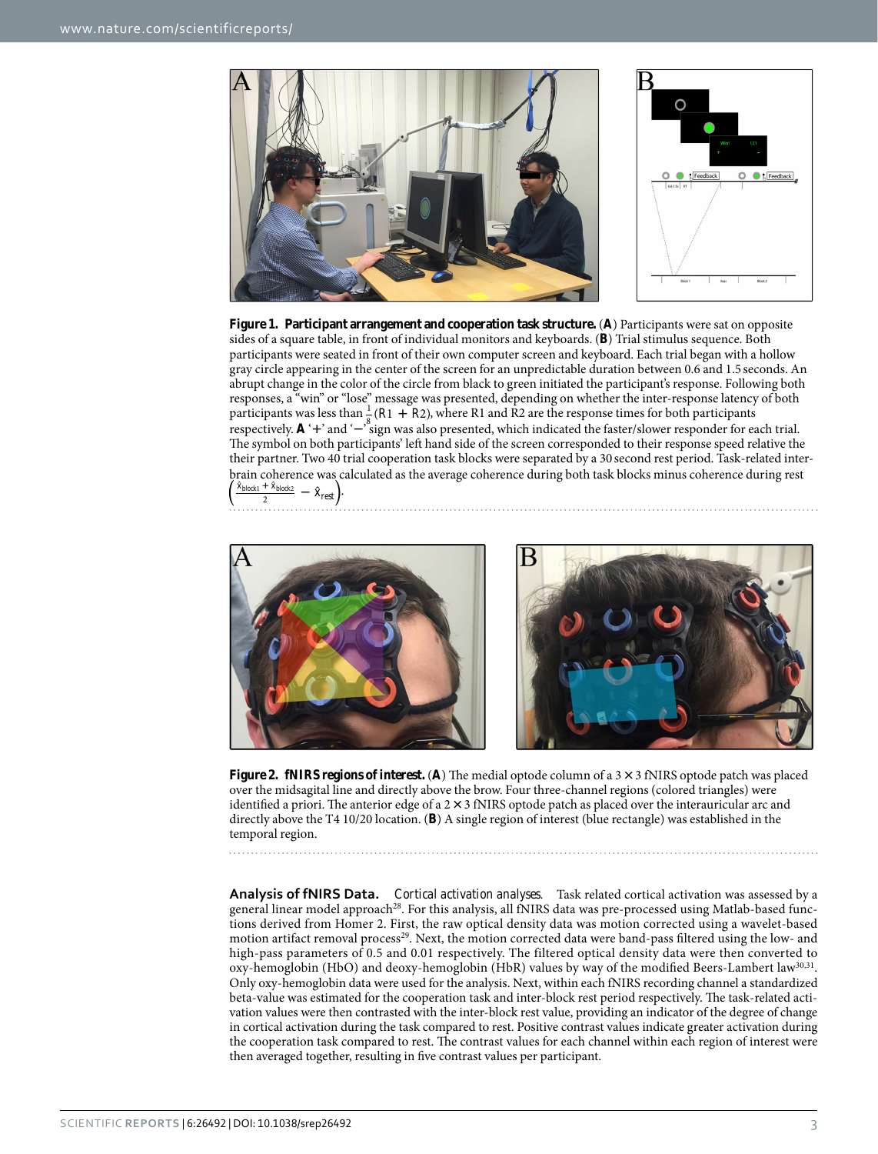

<span id="page-2-0"></span>**Figure 1. Participant arrangement and cooperation task structure.** (**A**) Participants were sat on opposite sides of a square table, in front of individual monitors and keyboards. (**B**) Trial stimulus sequence. Both participants were seated in front of their own computer screen and keyboard. Each trial began with a hollow gray circle appearing in the center of the screen for an unpredictable duration between 0.6 and 1.5 seconds. An abrupt change in the color of the circle from black to green initiated the participant's response. Following both responses, a "win" or "lose" message was presented, depending on whether the inter-response latency of both participants was less than  $\frac{1}{8}(R1 + R2)$ , where R1 and R2 are the response times for both participants<br>respectively. **A** '+' and '-' sign was also presented, which indicated the faster/slower responder for each trial. The symbol on both participants' left hand side of the screen corresponded to their response speed relative the their partner. Two 40 trial cooperation task blocks were separated by a 30 second rest period. Task-related interbrain coherence was calculated as the average coherence during both task blocks minus coherence during rest  $\left(\frac{\hat{x}_{block1} + \hat{x}_{block2}}{2} - \hat{x}_{rest}\right)$ . 



**Figure 2. <b>fNIRS regions of interest.** (A) The medial optode column of a  $3 \times 3$  fNIRS optode patch was placed over the midsagital line and directly above the brow. Four three-channel regions (colored triangles) were identified a priori. The anterior edge of a  $2 \times 3$  fNIRS optode patch as placed over the interauricular arc and directly above the T4 10/20 location. (**B**) A single region of interest (blue rectangle) was established in the temporal region.

<span id="page-2-1"></span>

**Analysis of fNIRS Data.** *Cortical activation analyses*. Task related cortical activation was assessed by a general linear model approach<sup>28</sup>. For this analysis, all fNIRS data was pre-processed using Matlab-based functions derived from Homer 2. First, the raw optical density data was motion corrected using a wavelet-based motion artifact removal process<sup>29</sup>. Next, the motion corrected data were band-pass filtered using the low- and high-pass parameters of 0.5 and 0.01 respectively. The filtered optical density data were then converted to oxy-hemoglobin (HbO) and deoxy-hemoglobin (HbR) values by way of the modified Beers-Lambert law<sup>30,31</sup>. Only oxy-hemoglobin data were used for the analysis. Next, within each fNIRS recording channel a standardized beta-value was estimated for the cooperation task and inter-block rest period respectively. The task-related activation values were then contrasted with the inter-block rest value, providing an indicator of the degree of change in cortical activation during the task compared to rest. Positive contrast values indicate greater activation during the cooperation task compared to rest. The contrast values for each channel within each region of interest were then averaged together, resulting in five contrast values per participant.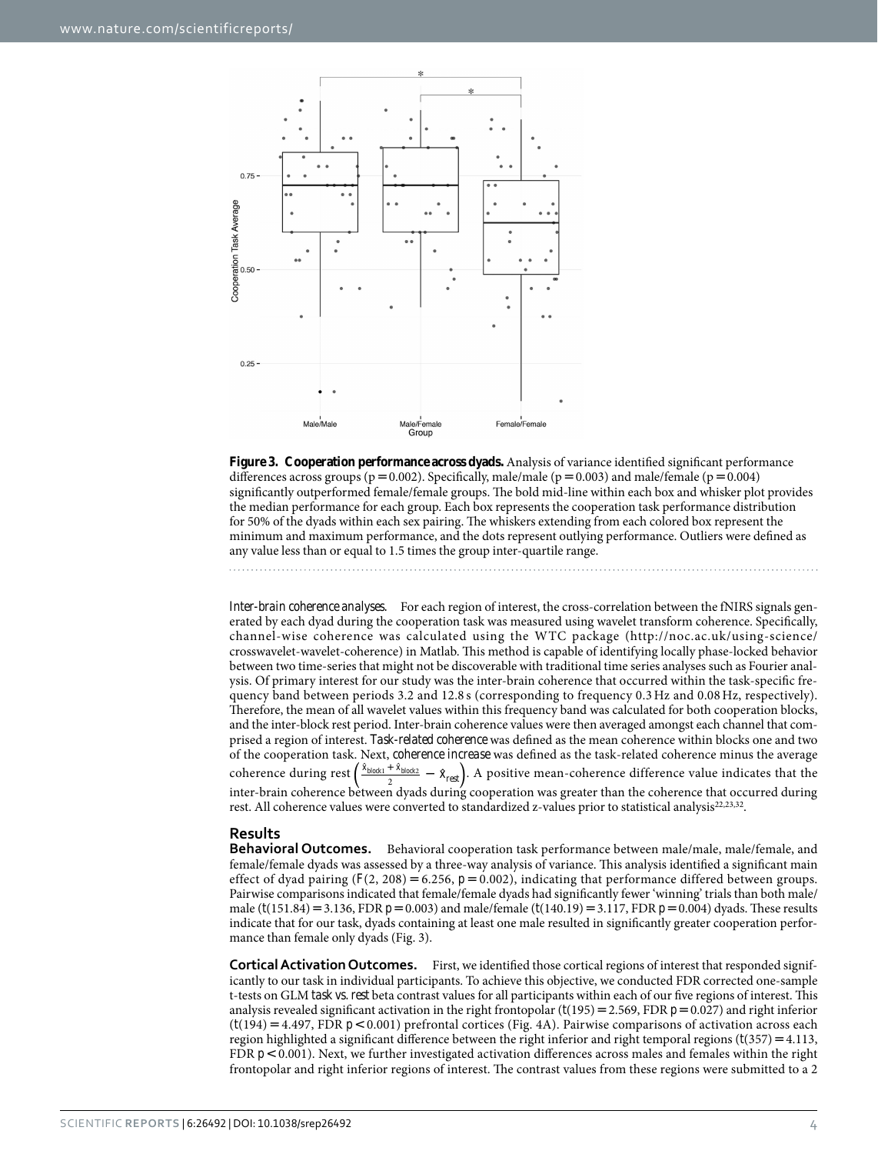

**Figure 3. Cooperation performance across dyads.** Analysis of variance identified significant performance differences across groups ( $p = 0.002$ ). Specifically, male/male ( $p = 0.003$ ) and male/female ( $p = 0.004$ ) significantly outperformed female/female groups. The bold mid-line within each box and whisker plot provides the median performance for each group. Each box represents the cooperation task performance distribution for 50% of the dyads within each sex pairing. The whiskers extending from each colored box represent the minimum and maximum performance, and the dots represent outlying performance. Outliers were defined as any value less than or equal to 1.5 times the group inter-quartile range.

*Inter-brain coherence analyses.* For each region of interest, the cross-correlation between the fNIRS signals generated by each dyad during the cooperation task was measured using wavelet transform coherence. Specifically, channel-wise coherence was calculated using the WTC package ([http://noc.ac.uk/using-science/](http://noc.ac.uk/using-science/crosswavelet-wavelet-coherence) [crosswavelet-wavelet-coherence](http://noc.ac.uk/using-science/crosswavelet-wavelet-coherence)) in Matlab. This method is capable of identifying locally phase-locked behavior between two time-series that might not be discoverable with traditional time series analyses such as Fourier analysis. Of primary interest for our study was the inter-brain coherence that occurred within the task-specific frequency band between periods 3.2 and 12.8 s (corresponding to frequency 0.3Hz and 0.08 Hz, respectively). Therefore, the mean of all wavelet values within this frequency band was calculated for both cooperation blocks, and the inter-block rest period. Inter-brain coherence values were then averaged amongst each channel that comprised a region of interest. *Task-related coherence* was defined as the mean coherence within blocks one and two of the cooperation task. Next, *coherence increase* was defined as the task-related coherence minus the average coherence during rest  $\left(\frac{\hat{x}_{block1} + \hat{x}_{block}}{2} - \hat{x}_{rest}\right)$ . A positive mean-coherence difference value indicates that the inter-brain coherence between dyads during cooperation was greater than the coherence that occurred during rest. All coherence values were converted to standardized z-values prior to statistical analysis<sup>[22,](#page-8-0)[23,](#page-8-1)32</sup>.

#### **Results**

**Behavioral Outcomes.** Behavioral cooperation task performance between male/male, male/female, and female/female dyads was assessed by a three-way analysis of variance. This analysis identified a significant main effect of dyad pairing  $(F(2, 208) = 6.256, p = 0.002)$ , indicating that performance differed between groups. Pairwise comparisons indicated that female/female dyads had significantly fewer 'winning' trials than both male/ male (*t*(151.84)=3.136, FDR *p*=0.003) and male/female (*t*(140.19)=3.117, FDR *p*=0.004) dyads. These results indicate that for our task, dyads containing at least one male resulted in significantly greater cooperation performance than female only dyads (Fig. 3).

**Cortical Activation Outcomes.** First, we identified those cortical regions of interest that responded significantly to our task in individual participants. To achieve this objective, we conducted FDR corrected one-sample t-tests on GLM *task vs. rest* beta contrast values for all participants within each of our five regions of interest. This analysis revealed significant activation in the right frontopolar (*t*(195)=2.569, FDR *p*=0.027) and right inferior (*t*(194)= 4.497, FDR *p*< 0.001) prefrontal cortices (Fig. 4A). Pairwise comparisons of activation across each region highlighted a significant difference between the right inferior and right temporal regions (*t*(357)=4.113, FDR  $p$  < 0.001). Next, we further investigated activation differences across males and females within the right frontopolar and right inferior regions of interest. The contrast values from these regions were submitted to a 2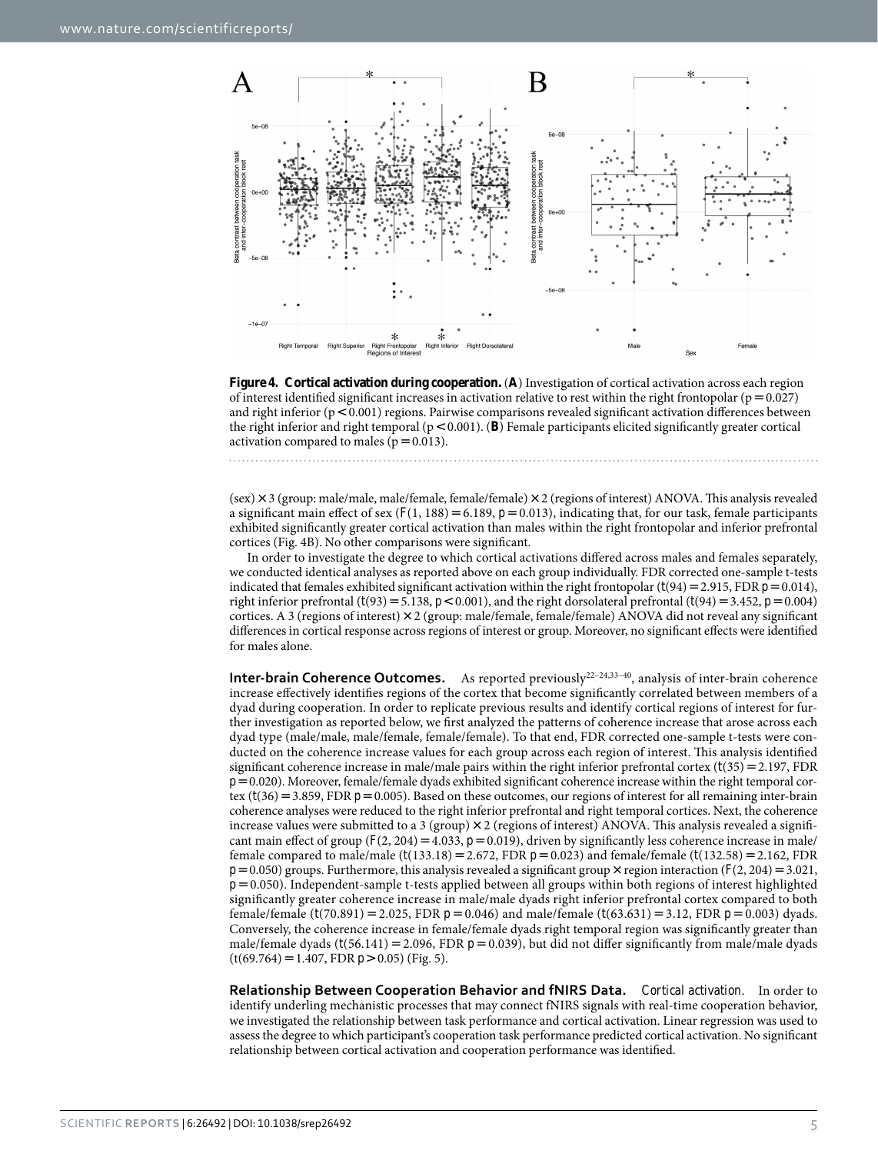

<span id="page-4-0"></span>

 $(sex) \times 3$  (group: male/male, male/female, female/female)  $\times 2$  (regions of interest) ANOVA. This analysis revealed a significant main effect of sex  $(F(1, 188) = 6.189, p = 0.013)$ , indicating that, for our task, female participants exhibited significantly greater cortical activation than males within the right frontopolar and inferior prefrontal cortices [\(Fig. 4B](#page-4-0)). No other comparisons were significant.

In order to investigate the degree to which cortical activations differed across males and females separately, we conducted identical analyses as reported above on each group individually. FDR corrected one-sample t-tests indicated that females exhibited significant activation within the right frontopolar ( $t(94) = 2.915$ , FDR  $p = 0.014$ ), right inferior prefrontal ( $t(93) = 5.138$ ,  $p < 0.001$ ), and the right dorsolateral prefrontal ( $t(94) = 3.452$ ,  $p = 0.004$ ) cortices. A 3 (regions of interest)  $\times$  2 (group: male/female, female/female) ANOVA did not reveal any significant differences in cortical response across regions of interest or group. Moreover, no significant effects were identified for males alone.

**Inter-brain Coherence Outcomes.** As reported previously<sup>22-24,33-40</sup>, analysis of inter-brain coherence increase effectively identifies regions of the cortex that become significantly correlated between members of a dyad during cooperation. In order to replicate previous results and identify cortical regions of interest for further investigation as reported below, we first analyzed the patterns of coherence increase that arose across each dyad type (male/male, male/female, female/female). To that end, FDR corrected one-sample t-tests were conducted on the coherence increase values for each group across each region of interest. This analysis identified significant coherence increase in male/male pairs within the right inferior prefrontal cortex  $(t(35) = 2.197$ , FDR *p* = 0.020). Moreover, female/female dyads exhibited significant coherence increase within the right temporal cortex ( $t(36) = 3.859$ , FDR  $p = 0.005$ ). Based on these outcomes, our regions of interest for all remaining inter-brain coherence analyses were reduced to the right inferior prefrontal and right temporal cortices. Next, the coherence increase values were submitted to a 3 (group)  $\times$  2 (regions of interest) ANOVA. This analysis revealed a significant main effect of group  $(F(2, 204) = 4.033, p = 0.019)$ , driven by significantly less coherence increase in male/ female compared to male/male (*t*(133.18)= 2.672, FDR *p*= 0.023) and female/female (*t*(132.58)= 2.162, FDR  $p$  = 0.050) groups. Furthermore, this analysis revealed a significant group  $\times$  region interaction (*F*(2, 204) = 3.021, *p* = 0.050). Independent-sample t-tests applied between all groups within both regions of interest highlighted significantly greater coherence increase in male/male dyads right inferior prefrontal cortex compared to both female/female (*t*(70.891)= 2.025, FDR *p*= 0.046) and male/female (*t*(63.631)= 3.12, FDR *p*= 0.003) dyads. Conversely, the coherence increase in female/female dyads right temporal region was significantly greater than male/female dyads  $(t(56.141)= 2.096$ , FDR  $p= 0.039$ ), but did not differ significantly from male/male dyads (t(69.764)=1.407, FDR *p*>0.05) [\(Fig. 5\)](#page-5-0).

**Relationship Between Cooperation Behavior and fNIRS Data.** *Cortical activation*. In order to identify underling mechanistic processes that may connect fNIRS signals with real-time cooperation behavior, we investigated the relationship between task performance and cortical activation. Linear regression was used to assess the degree to which participant's cooperation task performance predicted cortical activation. No significant relationship between cortical activation and cooperation performance was identified.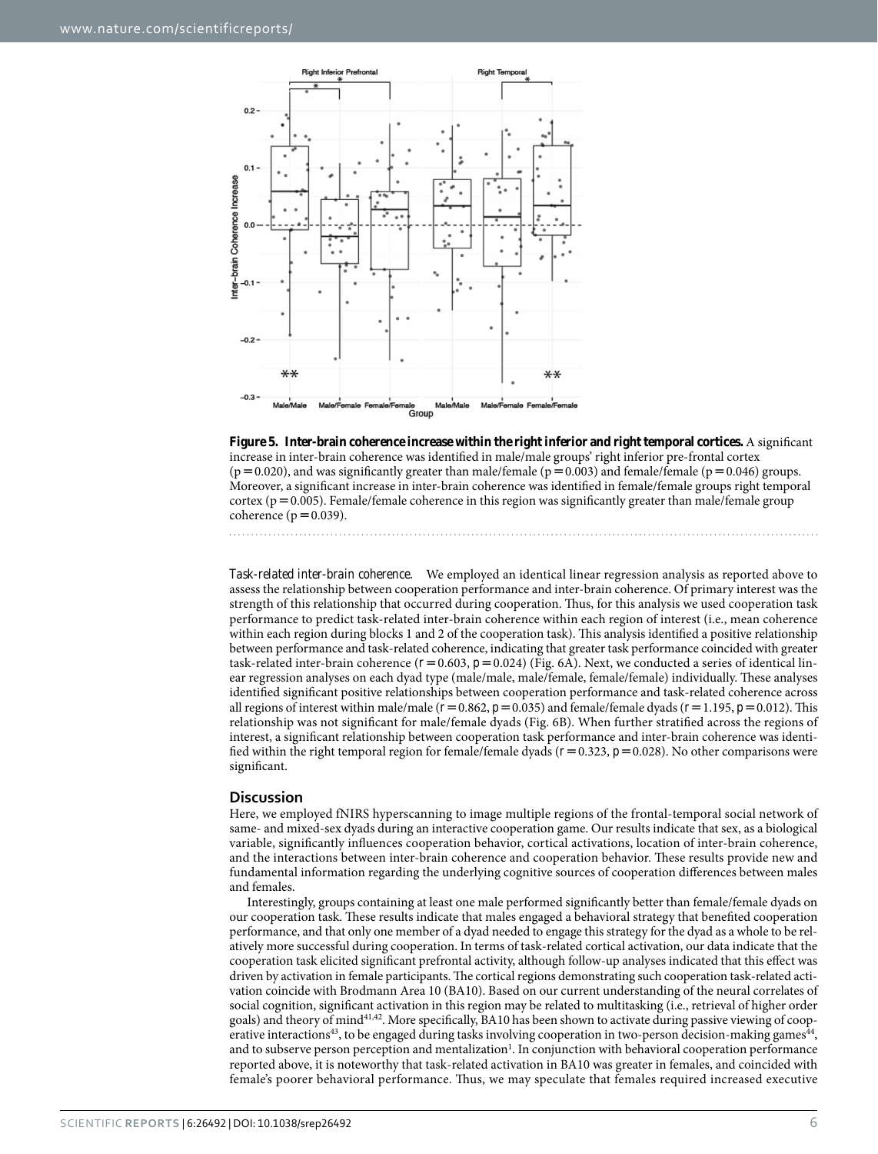

<span id="page-5-0"></span>

*Task-related inter-brain coherence.* We employed an identical linear regression analysis as reported above to assess the relationship between cooperation performance and inter-brain coherence. Of primary interest was the strength of this relationship that occurred during cooperation. Thus, for this analysis we used cooperation task performance to predict task-related inter-brain coherence within each region of interest (i.e., mean coherence within each region during blocks 1 and 2 of the cooperation task). This analysis identified a positive relationship between performance and task-related coherence, indicating that greater task performance coincided with greater task-related inter-brain coherence  $(r = 0.603, p = 0.024)$  ([Fig. 6A\)](#page-6-0). Next, we conducted a series of identical linear regression analyses on each dyad type (male/male, male/female, female/female) individually. These analyses identified significant positive relationships between cooperation performance and task-related coherence across all regions of interest within male/male ( $r = 0.862$ ,  $p = 0.035$ ) and female/female dyads ( $r = 1.195$ ,  $p = 0.012$ ). This relationship was not significant for male/female dyads ([Fig. 6B\)](#page-6-0). When further stratified across the regions of interest, a significant relationship between cooperation task performance and inter-brain coherence was identified within the right temporal region for female/female dyads (*r*=0.323, *p*=0.028). No other comparisons were significant.

#### **Discussion**

Here, we employed fNIRS hyperscanning to image multiple regions of the frontal-temporal social network of same- and mixed-sex dyads during an interactive cooperation game. Our results indicate that sex, as a biological variable, significantly influences cooperation behavior, cortical activations, location of inter-brain coherence, and the interactions between inter-brain coherence and cooperation behavior. These results provide new and fundamental information regarding the underlying cognitive sources of cooperation differences between males and females.

Interestingly, groups containing at least one male performed significantly better than female/female dyads on our cooperation task. These results indicate that males engaged a behavioral strategy that benefited cooperation performance, and that only one member of a dyad needed to engage this strategy for the dyad as a whole to be relatively more successful during cooperation. In terms of task-related cortical activation, our data indicate that the cooperation task elicited significant prefrontal activity, although follow-up analyses indicated that this effect was driven by activation in female participants. The cortical regions demonstrating such cooperation task-related activation coincide with Brodmann Area 10 (BA10). Based on our current understanding of the neural correlates of social cognition, significant activation in this region may be related to multitasking (i.e., retrieval of higher order goals) and theory of mind<sup>41,42</sup>. More specifically, BA10 has been shown to activate during passive viewing of cooperative interactions<sup>43</sup>, to be engaged during tasks involving cooperation in two-person decision-making games<sup>44</sup>, and to subserve person perception and mentalization<sup>1</sup>. In conjunction with behavioral cooperation performance reported above, it is noteworthy that task-related activation in BA10 was greater in females, and coincided with female's poorer behavioral performance. Thus, we may speculate that females required increased executive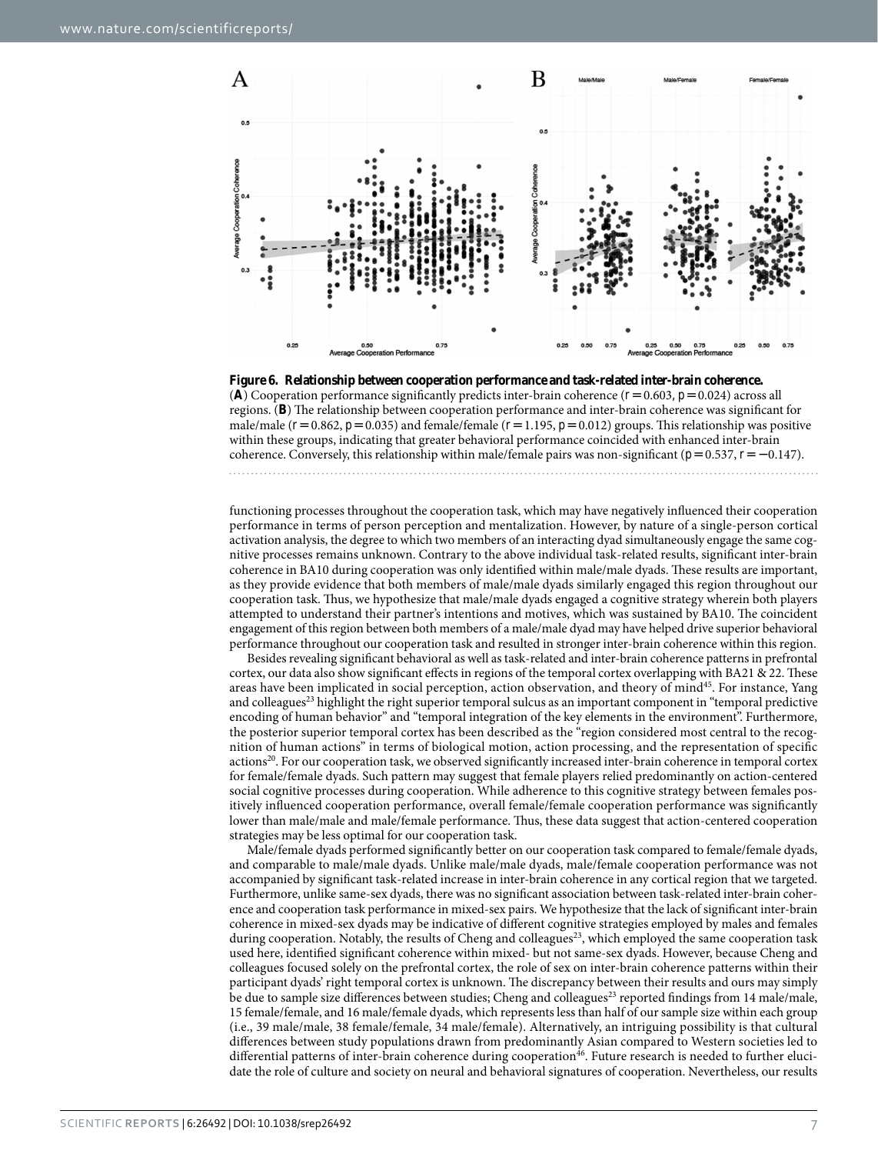

<span id="page-6-0"></span>**Figure 6. Relationship between cooperation performance and task-related inter-brain coherence.**  (**A**) Cooperation performance significantly predicts inter-brain coherence (*r*=0.603*, p*=0.024) across all regions. (**B**) The relationship between cooperation performance and inter-brain coherence was significant for male/male ( $r = 0.862$ ,  $p = 0.035$ ) and female/female ( $r = 1.195$ ,  $p = 0.012$ ) groups. This relationship was positive within these groups, indicating that greater behavioral performance coincided with enhanced inter-brain coherence. Conversely, this relationship within male/female pairs was non-significant (*p*=0.537, *r*=−0.147).

functioning processes throughout the cooperation task, which may have negatively influenced their cooperation performance in terms of person perception and mentalization. However, by nature of a single-person cortical activation analysis, the degree to which two members of an interacting dyad simultaneously engage the same cognitive processes remains unknown. Contrary to the above individual task-related results, significant inter-brain coherence in BA10 during cooperation was only identified within male/male dyads. These results are important, as they provide evidence that both members of male/male dyads similarly engaged this region throughout our cooperation task. Thus, we hypothesize that male/male dyads engaged a cognitive strategy wherein both players attempted to understand their partner's intentions and motives, which was sustained by BA10. The coincident engagement of this region between both members of a male/male dyad may have helped drive superior behavioral performance throughout our cooperation task and resulted in stronger inter-brain coherence within this region.

Besides revealing significant behavioral as well as task-related and inter-brain coherence patterns in prefrontal cortex, our data also show significant effects in regions of the temporal cortex overlapping with BA21 & 22. These areas have been implicated in social perception, action observation, and theory of mind45. For instance, Yang and colleagues<sup>[23](#page-8-1)</sup> highlight the right superior temporal sulcus as an important component in "temporal predictive encoding of human behavior" and "temporal integration of the key elements in the environment". Furthermore, the posterior superior temporal cortex has been described as the "region considered most central to the recognition of human actions" in terms of biological motion, action processing, and the representation of specific actions<sup>20</sup>. For our cooperation task, we observed significantly increased inter-brain coherence in temporal cortex for female/female dyads. Such pattern may suggest that female players relied predominantly on action-centered social cognitive processes during cooperation. While adherence to this cognitive strategy between females positively influenced cooperation performance, overall female/female cooperation performance was significantly lower than male/male and male/female performance. Thus, these data suggest that action-centered cooperation strategies may be less optimal for our cooperation task.

Male/female dyads performed significantly better on our cooperation task compared to female/female dyads, and comparable to male/male dyads. Unlike male/male dyads, male/female cooperation performance was not accompanied by significant task-related increase in inter-brain coherence in any cortical region that we targeted. Furthermore, unlike same-sex dyads, there was no significant association between task-related inter-brain coherence and cooperation task performance in mixed-sex pairs. We hypothesize that the lack of significant inter-brain coherence in mixed-sex dyads may be indicative of different cognitive strategies employed by males and females during cooperation. Notably, the results of Cheng and colleagues<sup>23</sup>, which employed the same cooperation task used here, identified significant coherence within mixed- but not same-sex dyads. However, because Cheng and colleagues focused solely on the prefrontal cortex, the role of sex on inter-brain coherence patterns within their participant dyads' right temporal cortex is unknown. The discrepancy between their results and ours may simply be due to sample size differences between studies; Cheng and colleagues<sup>[23](#page-8-1)</sup> reported findings from 14 male/male, 15 female/female, and 16 male/female dyads, which represents less than half of our sample size within each group (i.e., 39 male/male, 38 female/female, 34 male/female). Alternatively, an intriguing possibility is that cultural differences between study populations drawn from predominantly Asian compared to Western societies led to differential patterns of inter-brain coherence during cooperation<sup>46</sup>. Future research is needed to further elucidate the role of culture and society on neural and behavioral signatures of cooperation. Nevertheless, our results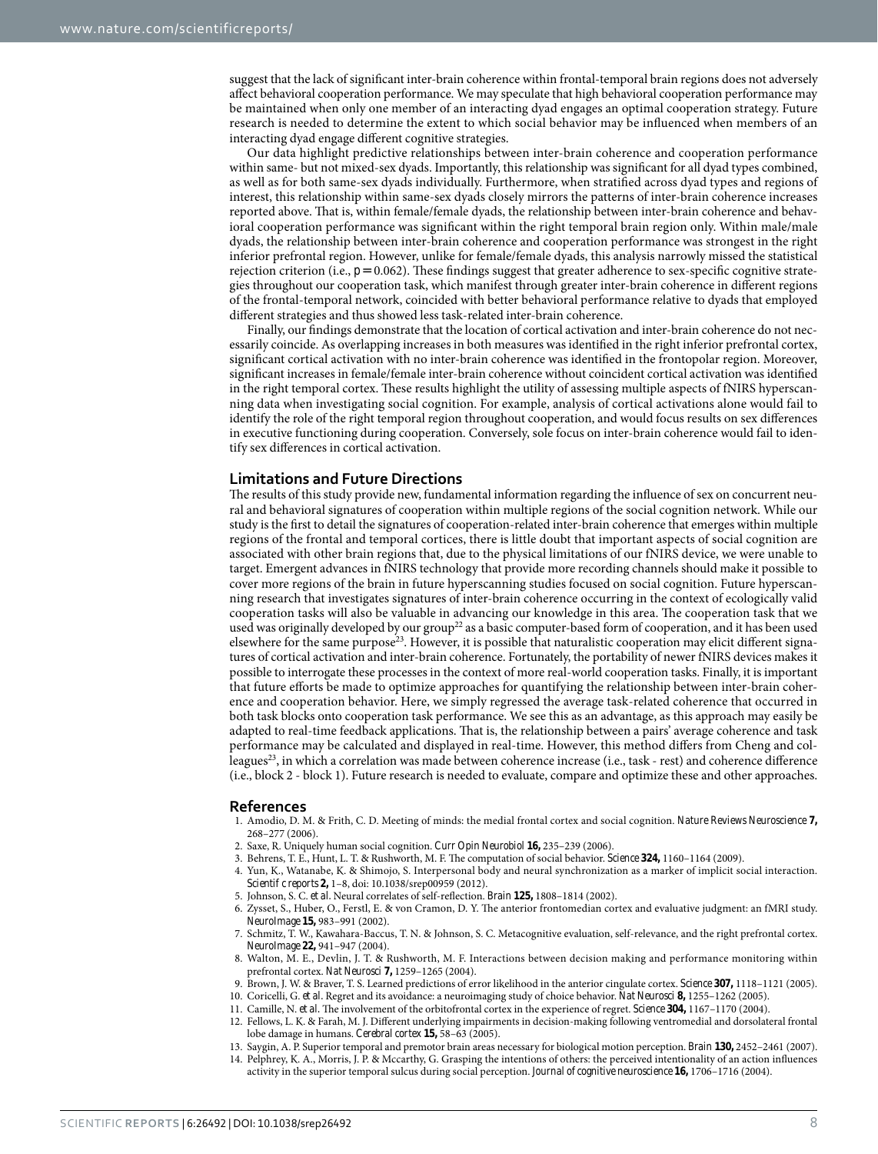suggest that the lack of significant inter-brain coherence within frontal-temporal brain regions does not adversely affect behavioral cooperation performance. We may speculate that high behavioral cooperation performance may be maintained when only one member of an interacting dyad engages an optimal cooperation strategy. Future research is needed to determine the extent to which social behavior may be influenced when members of an interacting dyad engage different cognitive strategies.

Our data highlight predictive relationships between inter-brain coherence and cooperation performance within same- but not mixed-sex dyads. Importantly, this relationship was significant for all dyad types combined, as well as for both same-sex dyads individually. Furthermore, when stratified across dyad types and regions of interest, this relationship within same-sex dyads closely mirrors the patterns of inter-brain coherence increases reported above. That is, within female/female dyads, the relationship between inter-brain coherence and behavioral cooperation performance was significant within the right temporal brain region only. Within male/male dyads, the relationship between inter-brain coherence and cooperation performance was strongest in the right inferior prefrontal region. However, unlike for female/female dyads, this analysis narrowly missed the statistical rejection criterion (i.e.,  $p = 0.062$ ). These findings suggest that greater adherence to sex-specific cognitive strategies throughout our cooperation task, which manifest through greater inter-brain coherence in different regions of the frontal-temporal network, coincided with better behavioral performance relative to dyads that employed different strategies and thus showed less task-related inter-brain coherence.

Finally, our findings demonstrate that the location of cortical activation and inter-brain coherence do not necessarily coincide. As overlapping increases in both measures was identified in the right inferior prefrontal cortex, significant cortical activation with no inter-brain coherence was identified in the frontopolar region. Moreover, significant increases in female/female inter-brain coherence without coincident cortical activation was identified in the right temporal cortex. These results highlight the utility of assessing multiple aspects of fNIRS hyperscanning data when investigating social cognition. For example, analysis of cortical activations alone would fail to identify the role of the right temporal region throughout cooperation, and would focus results on sex differences in executive functioning during cooperation. Conversely, sole focus on inter-brain coherence would fail to identify sex differences in cortical activation.

#### **Limitations and Future Directions**

The results of this study provide new, fundamental information regarding the influence of sex on concurrent neural and behavioral signatures of cooperation within multiple regions of the social cognition network. While our study is the first to detail the signatures of cooperation-related inter-brain coherence that emerges within multiple regions of the frontal and temporal cortices, there is little doubt that important aspects of social cognition are associated with other brain regions that, due to the physical limitations of our fNIRS device, we were unable to target. Emergent advances in fNIRS technology that provide more recording channels should make it possible to cover more regions of the brain in future hyperscanning studies focused on social cognition. Future hyperscanning research that investigates signatures of inter-brain coherence occurring in the context of ecologically valid cooperation tasks will also be valuable in advancing our knowledge in this area. The cooperation task that we used was originally developed by our group<sup>22</sup> as a basic computer-based form of cooperation, and it has been used elsewhere for the same purpose<sup>23</sup>. However, it is possible that naturalistic cooperation may elicit different signatures of cortical activation and inter-brain coherence. Fortunately, the portability of newer fNIRS devices makes it possible to interrogate these processes in the context of more real-world cooperation tasks. Finally, it is important that future efforts be made to optimize approaches for quantifying the relationship between inter-brain coherence and cooperation behavior. Here, we simply regressed the average task-related coherence that occurred in both task blocks onto cooperation task performance. We see this as an advantage, as this approach may easily be adapted to real-time feedback applications. That is, the relationship between a pairs' average coherence and task performance may be calculated and displayed in real-time. However, this method differs from Cheng and col-leagues<sup>[23](#page-8-1)</sup>, in which a correlation was made between coherence increase (i.e., task - rest) and coherence difference (i.e., block 2 - block 1). Future research is needed to evaluate, compare and optimize these and other approaches.

#### **References**

- 1. Amodio, D. M. & Frith, C. D. Meeting of minds: the medial frontal cortex and social cognition. *Nature Reviews Neuroscience* **7,** 268–277 (2006).
- <span id="page-7-1"></span>2. Saxe, R. Uniquely human social cognition. *Curr Opin Neurobiol* **16,** 235–239 (2006).
- 3. Behrens, T. E., Hunt, L. T. & Rushworth, M. F. The computation of social behavior. *Science* **324,** 1160–1164 (2009).
- 4. Yun, K., Watanabe, K. & Shimojo, S. Interpersonal body and neural synchronization as a marker of implicit social interaction. *Scienti c reports* **2**, 1–8, doi: 10.1038/srep00959 (2012).
- 5. Johnson, S. C. *et al.* Neural correlates of self‐reflection. *Brain* **125,** 1808–1814 (2002).
- 6. Zysset, S., Huber, O., Ferstl, E. & von Cramon, D. Y. The anterior frontomedian cortex and evaluative judgment: an fMRI study. *NeuroImage* **15,** 983–991 (2002).
- 7. Schmitz, T. W., Kawahara-Baccus, T. N. & Johnson, S. C. Metacognitive evaluation, self-relevance, and the right prefrontal cortex. *NeuroImage* **22,** 941–947 (2004).
- <span id="page-7-0"></span>8. Walton, M. E., Devlin, J. T. & Rushworth, M. F. Interactions between decision making and performance monitoring within prefrontal cortex. *Nat Neurosci* **7,** 1259–1265 (2004).
- 9. Brown, J. W. & Braver, T. S. Learned predictions of error likelihood in the anterior cingulate cortex. *Science* **307,** 1118–1121 (2005).
- 10. Coricelli, G. *et al.* Regret and its avoidance: a neuroimaging study of choice behavior. *Nat Neurosci* **8,** 1255–1262 (2005).
- 11. Camille, N. *et al.* The involvement of the orbitofrontal cortex in the experience of regret. *Science* **304,** 1167–1170 (2004).
- 12. Fellows, L. K. & Farah, M. J. Different underlying impairments in decision-making following ventromedial and dorsolateral frontal lobe damage in humans. *Cerebral cortex* **15,** 58–63 (2005).
- <span id="page-7-2"></span>13. Saygin, A. P. Superior temporal and premotor brain areas necessary for biological motion perception. *Brain* **130,** 2452–2461 (2007).
- 14. Pelphrey, K. A., Morris, J. P. & Mccarthy, G. Grasping the intentions of others: the perceived intentionality of an action influences activity in the superior temporal sulcus during social perception. *Journal of cognitive neuroscience* **16,** 1706–1716 (2004).